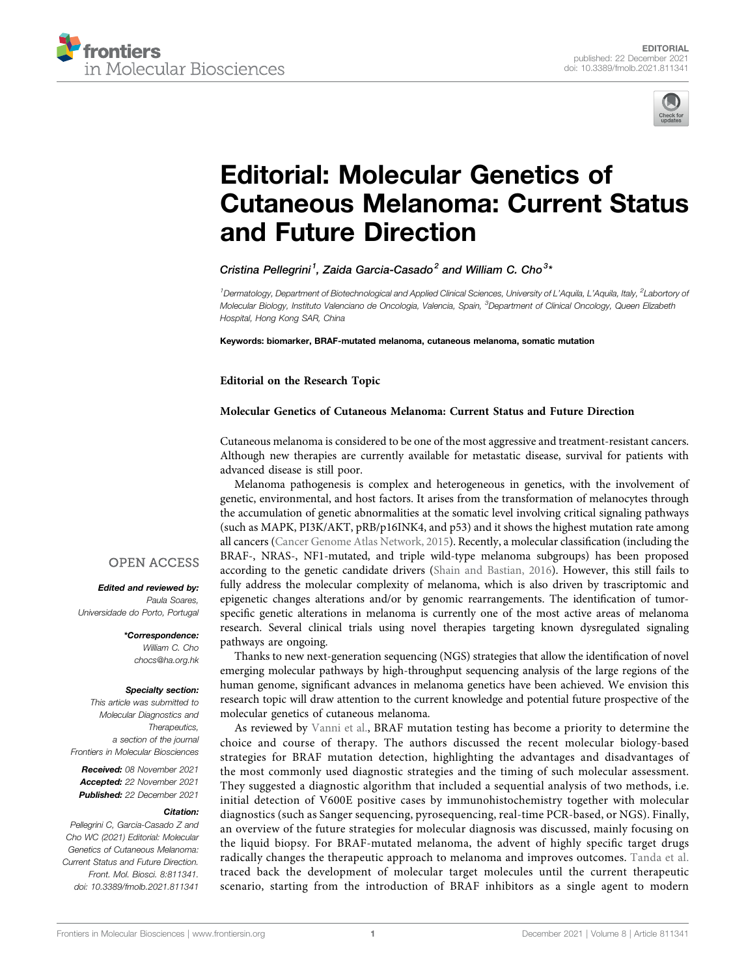



# [Editorial: Molecular Genetics of](https://www.frontiersin.org/articles/10.3389/fmolb.2021.811341/full) [Cutaneous Melanoma: Current Status](https://www.frontiersin.org/articles/10.3389/fmolb.2021.811341/full) [and Future Direction](https://www.frontiersin.org/articles/10.3389/fmolb.2021.811341/full)

Cristina Pellegrini<sup>1</sup>, Zaida Garcia-Casado<sup>2</sup> and William C. Cho<sup>3</sup>\*

<sup>1</sup> Dermatology, Department of Biotechnological and Applied Clinical Sciences, University of L'Aquila, L'Aquila, Italy, <sup>2</sup>Labortory oi Molecular Biology, Instituto Valenciano de Oncologia, Valencia, Spain, <sup>3</sup>Department of Clinical Oncology, Queen Elizabeth Hospital, Hong Kong SAR, China

Keywords: biomarker, BRAF-mutated melanoma, cutaneous melanoma, somatic mutation

Editorial on the Research Topic

### [Molecular Genetics of Cutaneous Melanoma: Current Status and Future Direction](https://www.frontiersin.org/researchtopic/9814)

Cutaneous melanoma is considered to be one of the most aggressive and treatment-resistant cancers. Although new therapies are currently available for metastatic disease, survival for patients with advanced disease is still poor.

Melanoma pathogenesis is complex and heterogeneous in genetics, with the involvement of genetic, environmental, and host factors. It arises from the transformation of melanocytes through the accumulation of genetic abnormalities at the somatic level involving critical signaling pathways (such as MAPK, PI3K/AKT, pRB/p16INK4, and p53) and it shows the highest mutation rate among all cancers ([Cancer Genome Atlas Network, 2015\)](#page-1-0). Recently, a molecular classification (including the BRAF-, NRAS-, NF1-mutated, and triple wild-type melanoma subgroups) has been proposed according to the genetic candidate drivers [\(Shain and Bastian, 2016](#page-1-1)). However, this still fails to fully address the molecular complexity of melanoma, which is also driven by trascriptomic and epigenetic changes alterations and/or by genomic rearrangements. The identification of tumorspecific genetic alterations in melanoma is currently one of the most active areas of melanoma research. Several clinical trials using novel therapies targeting known dysregulated signaling pathways are ongoing.

Thanks to new next-generation sequencing (NGS) strategies that allow the identification of novel emerging molecular pathways by high-throughput sequencing analysis of the large regions of the human genome, significant advances in melanoma genetics have been achieved. We envision this research topic will draw attention to the current knowledge and potential future prospective of the molecular genetics of cutaneous melanoma.

As reviewed by [Vanni et al.](https://www.frontiersin.org/articles/10.3389/fmolb.2020.00113/full), BRAF mutation testing has become a priority to determine the choice and course of therapy. The authors discussed the recent molecular biology-based strategies for BRAF mutation detection, highlighting the advantages and disadvantages of the most commonly used diagnostic strategies and the timing of such molecular assessment. They suggested a diagnostic algorithm that included a sequential analysis of two methods, i.e. initial detection of V600E positive cases by immunohistochemistry together with molecular diagnostics (such as Sanger sequencing, pyrosequencing, real-time PCR-based, or NGS). Finally, an overview of the future strategies for molecular diagnosis was discussed, mainly focusing on the liquid biopsy. For BRAF-mutated melanoma, the advent of highly specific target drugs radically changes the therapeutic approach to melanoma and improves outcomes. [Tanda et al.](https://www.frontiersin.org/articles/10.3389/fmolb.2020.00154/full) traced back the development of molecular target molecules until the current therapeutic scenario, starting from the introduction of BRAF inhibitors as a single agent to modern

## **OPEN ACCESS**

Edited and reviewed by: Paula Soares, Universidade do Porto, Portugal

> \*Correspondence: William C. Cho [chocs@ha.org.hk](mailto:chocs@ha.org.hk)

#### Specialty section:

This article was submitted to Molecular Diagnostics and Therapeutics, a section of the journal Frontiers in Molecular Biosciences

Received: 08 November 2021 Accepted: 22 November 2021 Published: 22 December 2021

#### Citation:

Pellegrini C, Garcia-Casado Z and Cho WC (2021) Editorial: Molecular Genetics of Cutaneous Melanoma: Current Status and Future Direction. Front. Mol. Biosci. 8:811341. doi: [10.3389/fmolb.2021.811341](https://doi.org/10.3389/fmolb.2021.811341)